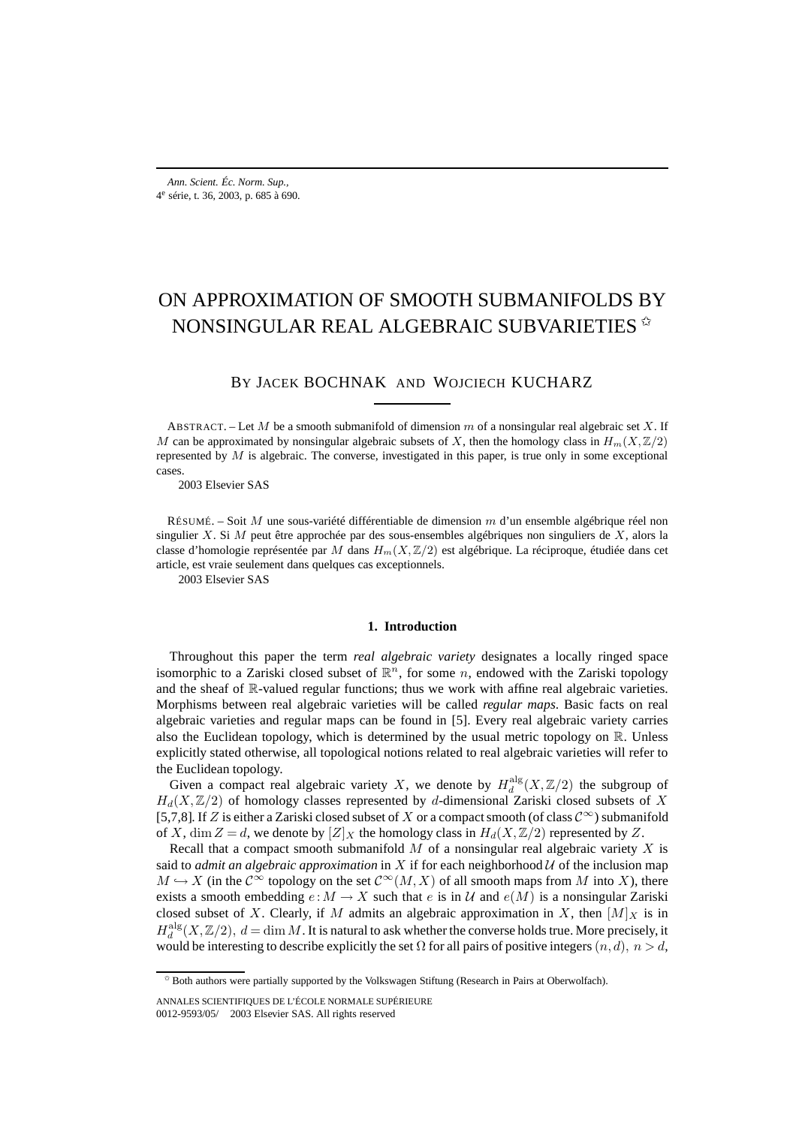# ON APPROXIMATION OF SMOOTH SUBMANIFOLDS BY NONSINGULAR REAL ALGEBRAIC SUBVARIETIES <sup>\*</sup>

BY JACEK BOCHNAK AND WOJCIECH KUCHARZ

ABSTRACT. – Let M be a smooth submanifold of dimension m of a nonsingular real algebraic set X. If M can be approximated by nonsingular algebraic subsets of X, then the homology class in  $H_m(X,\mathbb{Z}/2)$ represented by  $M$  is algebraic. The converse, investigated in this paper, is true only in some exceptional cases.

2003 Elsevier SAS

RÉSUMÉ. – Soit M une sous-variété différentiable de dimension m d'un ensemble algébrique réel non singulier X. Si M peut être approchée par des sous-ensembles algébriques non singuliers de X, alors la classe d'homologie représentée par M dans  $H_m(X, \mathbb{Z}/2)$  est algébrique. La réciproque, étudiée dans cet article, est vraie seulement dans quelques cas exceptionnels.

2003 Elsevier SAS

#### **1. Introduction**

Throughout this paper the term *real algebraic variety* designates a locally ringed space isomorphic to a Zariski closed subset of  $\mathbb{R}^n$ , for some n, endowed with the Zariski topology and the sheaf of  $\mathbb R$ -valued regular functions; thus we work with affine real algebraic varieties. Morphisms between real algebraic varieties will be called *regular maps*. Basic facts on real algebraic varieties and regular maps can be found in [5]. Every real algebraic variety carries also the Euclidean topology, which is determined by the usual metric topology on  $\mathbb{R}$ . Unless explicitly stated otherwise, all topological notions related to real algebraic varieties will refer to the Euclidean topology.

Given a compact real algebraic variety X, we denote by  $H_d^{\text{alg}}(X,\mathbb{Z}/2)$  the subgroup of  $H_d(X,\mathbb{Z}/2)$  of homology classes represented by d-dimensional Zariski closed subsets of X [5,7,8]. If Z is either a Zariski closed subset of X or a compact smooth (of class  $\mathcal{C}^{\infty}$ ) submanifold of X, dim  $Z = d$ , we denote by  $[Z]_X$  the homology class in  $H_d(X, \mathbb{Z}/2)$  represented by Z.

Recall that a compact smooth submanifold  $M$  of a nonsingular real algebraic variety  $X$  is said to *admit an algebraic approximation* in X if for each neighborhood  $U$  of the inclusion map  $M \hookrightarrow X$  (in the  $\mathcal{C}^{\infty}$  topology on the set  $\mathcal{C}^{\infty}(M,X)$  of all smooth maps from M into X), there exists a smooth embedding  $e : M \to X$  such that e is in U and  $e(M)$  is a nonsingular Zariski closed subset of X. Clearly, if M admits an algebraic approximation in X, then  $[M]_X$  is in  $H_d^{\text{alg}}(X,\mathbb{Z}/2), d = \dim M$ . It is natural to ask whether the converse holds true. More precisely, it would be interesting to describe explicitly the set  $\Omega$  for all pairs of positive integers  $(n, d)$ ,  $n > d$ ,

<sup>✩</sup> Both authors were partially supported by the Volkswagen Stiftung (Research in Pairs at Oberwolfach).

ANNALES SCIENTIFIQUES DE L'ÉCOLE NORMALE SUPÉRIEURE 0012-9593/05/© 2003 Elsevier SAS. All rights reserved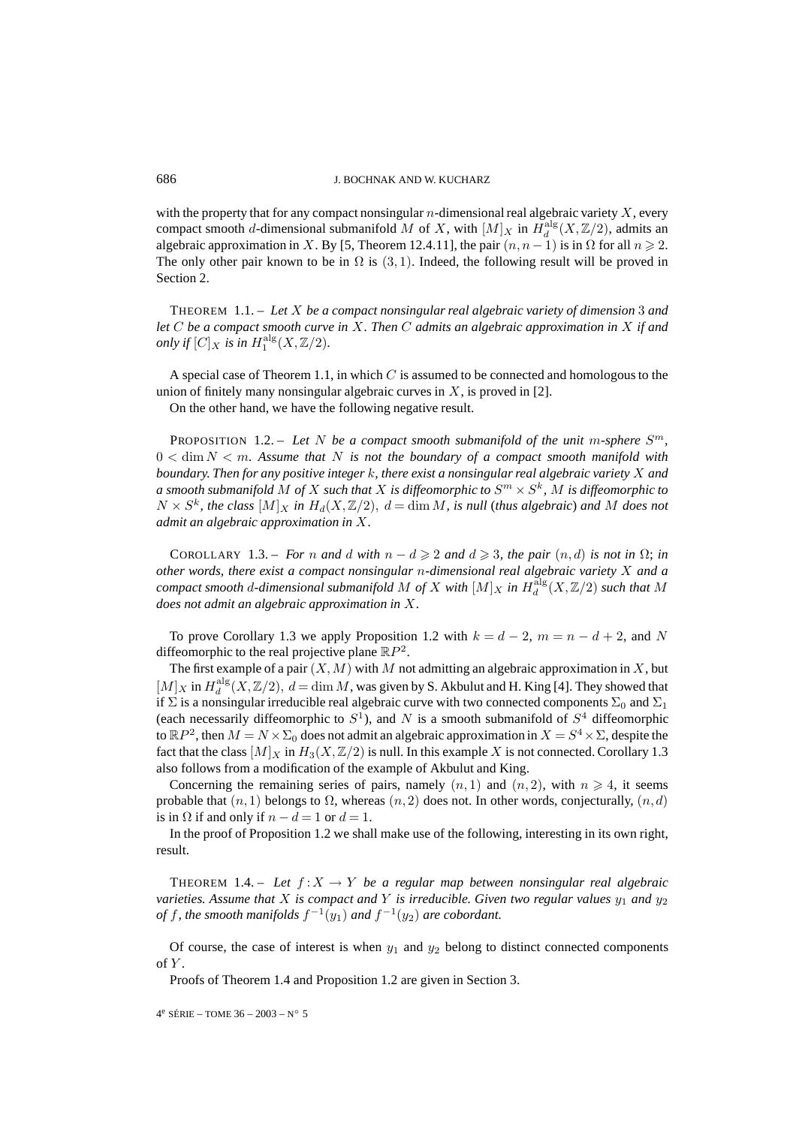with the property that for any compact nonsingular  $n$ -dimensional real algebraic variety  $X$ , every compact smooth d-dimensional submanifold M of X, with  $[M]_X$  in  $H_d^{\text{alg}}(X, \mathbb{Z}/2)$ , admits an algebraic approximation in X. By [5, Theorem 12.4.11], the pair  $(n, n - 1)$  is in  $\Omega$  for all  $n \ge 2$ . The only other pair known to be in  $\Omega$  is (3, 1). Indeed, the following result will be proved in Section 2.

THEOREM 1.1. – *Let* X *be a compact nonsingular real algebraic variety of dimension* 3 *and let* C *be a compact smooth curve in* X*. Then* C *admits an algebraic approximation in* X *if and only if*  $[C]_X$  *is in*  $H_1^{\text{alg}}(X, \mathbb{Z}/2)$ *.* 

A special case of Theorem 1.1, in which  $C$  is assumed to be connected and homologous to the union of finitely many nonsingular algebraic curves in  $X$ , is proved in [2].

On the other hand, we have the following negative result.

PROPOSITION 1.2. – Let N be a compact smooth submanifold of the unit m-sphere  $S<sup>m</sup>$ ,  $0 < \dim N < m$ . Assume that N is not the boundary of a compact smooth manifold with *boundary. Then for any positive integer* k*, there exist a nonsingular real algebraic variety* X *and a* smooth submanifold M of X such that X is diffeomorphic to  $S<sup>m</sup> \times S<sup>k</sup>$ , M is diffeomorphic to  $N \times S^k$ , the class  $[M]_X$  in  $H_d(X, \mathbb{Z}/2)$ ,  $d = \dim M$ , is null (thus algebraic) and M does not *admit an algebraic approximation in* X*.*

COROLLARY 1.3. – *For n* and *d* with  $n - d \ge 2$  and  $d \ge 3$ , the pair  $(n, d)$  is not in  $\Omega$ ; in *other words, there exist a compact nonsingular* n*-dimensional real algebraic variety* X *and a compact smooth* d-dimensional submanifold M of X with  $[M]_X$  in  $H_d^{\text{alg}}(X,\mathbb{Z}/2)$  such that M *does not admit an algebraic approximation in* X*.*

To prove Corollary 1.3 we apply Proposition 1.2 with  $k = d - 2$ ,  $m = n - d + 2$ , and N diffeomorphic to the real projective plane  $\mathbb{R}P^2$ .

The first example of a pair  $(X, M)$  with M not admitting an algebraic approximation in X, but  $[M]_X$  in  $H_d^{\text{alg}}(X,\mathbb{Z}/2), d = \dim M$ , was given by S. Akbulut and H. King [4]. They showed that if  $\Sigma$  is a nonsingular irreducible real algebraic curve with two connected components  $\Sigma_0$  and  $\Sigma_1$ (each necessarily diffeomorphic to  $S^1$ ), and N is a smooth submanifold of  $S^4$  diffeomorphic to  $\mathbb{R}P^2$ , then  $M = N \times \Sigma_0$  does not admit an algebraic approximation in  $X = S^4 \times \Sigma$ , despite the fact that the class  $[M]_X$  in  $H_3(X, \mathbb{Z}/2)$  is null. In this example X is not connected. Corollary 1.3 also follows from a modification of the example of Akbulut and King.

Concerning the remaining series of pairs, namely  $(n, 1)$  and  $(n, 2)$ , with  $n \geq 4$ , it seems probable that  $(n, 1)$  belongs to  $\Omega$ , whereas  $(n, 2)$  does not. In other words, conjecturally,  $(n, d)$ is in  $\Omega$  if and only if  $n - d = 1$  or  $d = 1$ .

In the proof of Proposition 1.2 we shall make use of the following, interesting in its own right, result.

THEOREM 1.4. – Let  $f: X \to Y$  be a regular map between nonsingular real algebraic *varieties. Assume that* X *is compact and* Y *is irreducible. Given two regular values*  $y_1$  *and*  $y_2$ *of* f, the smooth manifolds  $f^{-1}(y_1)$  and  $f^{-1}(y_2)$  are cobordant.

Of course, the case of interest is when  $y_1$  and  $y_2$  belong to distinct connected components of  $Y$ .

Proofs of Theorem 1.4 and Proposition 1.2 are given in Section 3.

 $4^e$  SÉRIE – TOME 36 – 2003 – N° 5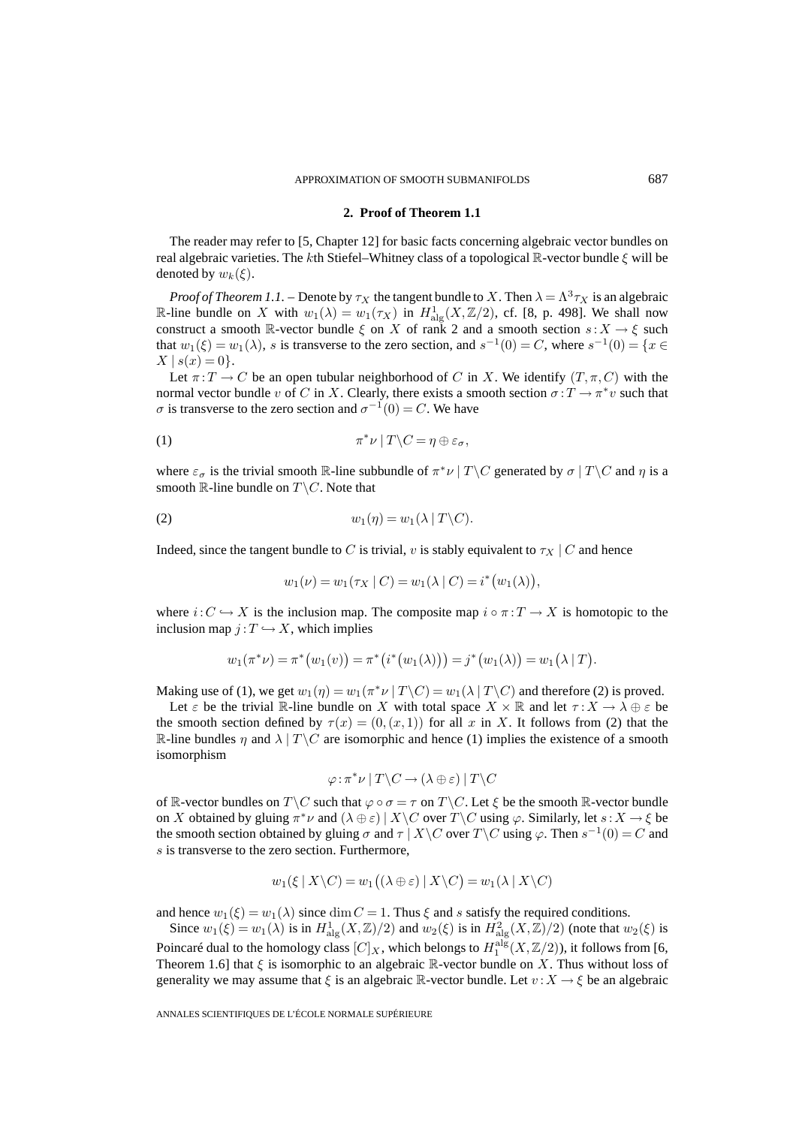### **2. Proof of Theorem 1.1**

The reader may refer to [5, Chapter 12] for basic facts concerning algebraic vector bundles on real algebraic varieties. The kth Stiefel–Whitney class of a topological R-vector bundle  $\xi$  will be denoted by  $w_k(\xi)$ .

*Proof of Theorem 1.1.* – Denote by  $\tau_X$  the tangent bundle to X. Then  $\lambda = \Lambda^3 \tau_X$  is an algebraic R-line bundle on X with  $w_1(\lambda) = w_1(\tau_X)$  in  $H^1_{\text{alg}}(X, \mathbb{Z}/2)$ , cf. [8, p. 498]. We shall now construct a smooth R-vector bundle  $\xi$  on X of rank 2 and a smooth section  $s: X \to \xi$  such that  $w_1(\xi) = w_1(\lambda)$ , s is transverse to the zero section, and  $s^{-1}(0) = C$ , where  $s^{-1}(0) = \{x \in$  $X | s(x) = 0$ .

Let  $\pi: T \to C$  be an open tubular neighborhood of C in X. We identify  $(T, \pi, C)$  with the normal vector bundle v of C in X. Clearly, there exists a smooth section  $\sigma: T \to \pi^*v$  such that  $\sigma$  is transverse to the zero section and  $\sigma^{-1}(0) = C$ . We have

$$
\pi^* \nu \mid T \backslash C = \eta \oplus \varepsilon_\sigma,
$$

where  $\varepsilon_{\sigma}$  is the trivial smooth R-line subbundle of  $\pi^*\nu \mid T \setminus C$  generated by  $\sigma \mid T \setminus C$  and  $\eta$  is a smooth  $\mathbb{R}$ -line bundle on  $T \backslash C$ . Note that

$$
(2) \t\t\t w_1(\eta) = w_1(\lambda \mid T \backslash C).
$$

Indeed, since the tangent bundle to C is trivial, v is stably equivalent to  $\tau_X \mid C$  and hence

$$
w_1(\nu) = w_1(\tau_X \mid C) = w_1(\lambda \mid C) = i^*(w_1(\lambda)),
$$

where  $i: C \hookrightarrow X$  is the inclusion map. The composite map  $i \circ \pi : T \to X$  is homotopic to the inclusion map  $j: T \hookrightarrow X$ , which implies

$$
w_1(\pi^*\nu) = \pi^*(w_1(v)) = \pi^*(i^*(w_1(\lambda))) = j^*(w_1(\lambda)) = w_1(\lambda | T).
$$

Making use of (1), we get  $w_1(\eta) = w_1(\pi^* \nu \mid T \setminus C) = w_1(\lambda \mid T \setminus C)$  and therefore (2) is proved.

Let  $\varepsilon$  be the trivial R-line bundle on X with total space  $X \times \mathbb{R}$  and let  $\tau: X \to \lambda \oplus \varepsilon$  be the smooth section defined by  $\tau(x) = (0,(x,1))$  for all x in X. It follows from (2) that the R-line bundles  $\eta$  and  $\lambda | T \backslash C$  are isomorphic and hence (1) implies the existence of a smooth isomorphism

$$
\varphi : \pi^* \nu \mid T \backslash C \to (\lambda \oplus \varepsilon) \mid T \backslash C
$$

of R-vector bundles on  $T \backslash C$  such that  $\varphi \circ \sigma = \tau$  on  $T \backslash C$ . Let  $\xi$  be the smooth R-vector bundle on X obtained by gluing  $\pi^*\nu$  and  $(\lambda \oplus \varepsilon) | X \setminus C$  over  $T \setminus C$  using  $\varphi$ . Similarly, let  $s: X \to \varepsilon$  be the smooth section obtained by gluing  $\sigma$  and  $\tau$  | X \C over T \C using  $\varphi$ . Then  $s^{-1}(0) = C$  and s is transverse to the zero section. Furthermore,

$$
w_1(\xi \mid X \setminus C) = w_1((\lambda \oplus \varepsilon) \mid X \setminus C) = w_1(\lambda \mid X \setminus C)
$$

and hence  $w_1(\xi) = w_1(\lambda)$  since  $\dim C = 1$ . Thus  $\xi$  and s satisfy the required conditions.

Since  $w_1(\xi) = w_1(\lambda)$  is in  $H^1_{\text{alg}}(X, \mathbb{Z})/2$  and  $w_2(\xi)$  is in  $H^2_{\text{alg}}(X, \mathbb{Z})/2$  (note that  $w_2(\xi)$  is Poincaré dual to the homology class  $[C]_X$ , which belongs to  $H_1^{\text{alg}}(X, \mathbb{Z}/2)$ ), it follows from [6, Theorem 1.6] that  $\xi$  is isomorphic to an algebraic  $\mathbb R$ -vector bundle on X. Thus without loss of generality we may assume that  $\xi$  is an algebraic R-vector bundle. Let  $v : X \to \xi$  be an algebraic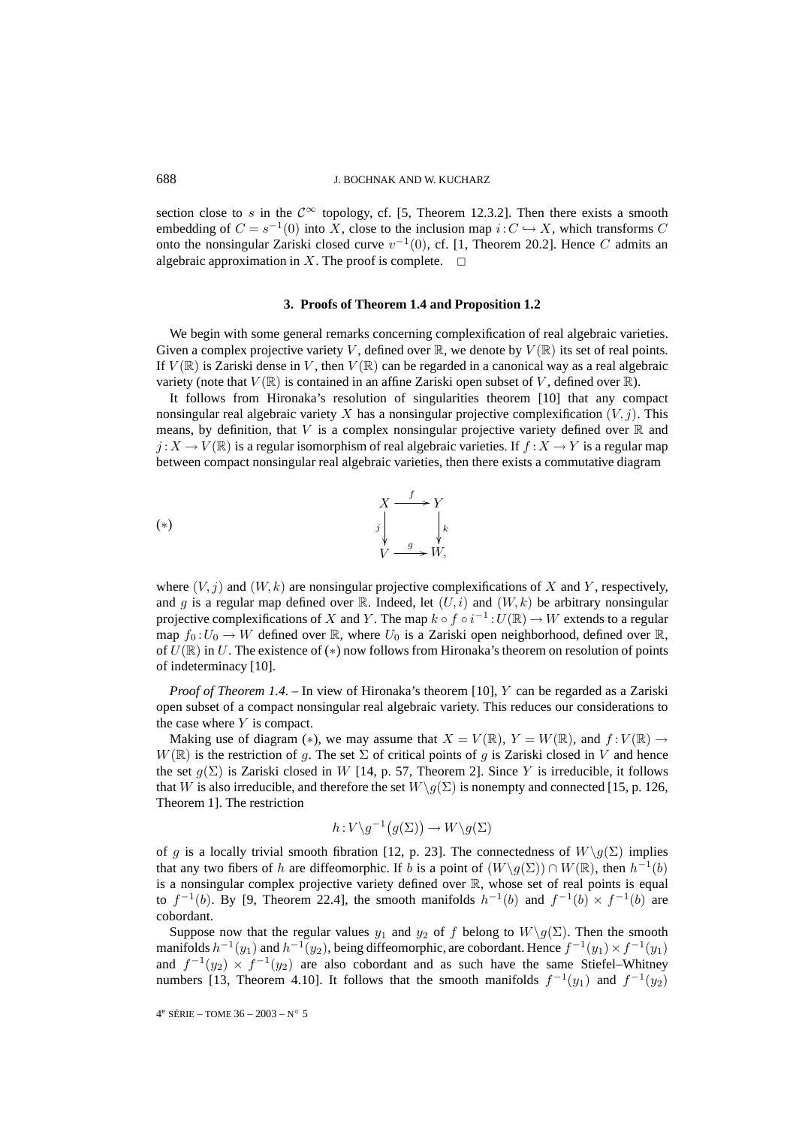#### 688 J. BOCHNAK AND W. KUCHARZ

section close to s in the  $\mathcal{C}^{\infty}$  topology, cf. [5, Theorem 12.3.2]. Then there exists a smooth embedding of  $C = s^{-1}(0)$  into X, close to the inclusion map  $i: C \hookrightarrow X$ , which transforms C onto the nonsingular Zariski closed curve  $v^{-1}(0)$ , cf. [1, Theorem 20.2]. Hence C admits an algebraic approximation in X. The proof is complete.  $\Box$ 

#### **3. Proofs of Theorem 1.4 and Proposition 1.2**

We begin with some general remarks concerning complexification of real algebraic varieties. Given a complex projective variety V, defined over  $\mathbb{R}$ , we denote by  $V(\mathbb{R})$  its set of real points. If  $V(\mathbb{R})$  is Zariski dense in V, then  $V(\mathbb{R})$  can be regarded in a canonical way as a real algebraic variety (note that  $V(\mathbb{R})$  is contained in an affine Zariski open subset of V, defined over  $\mathbb{R}$ ).

It follows from Hironaka's resolution of singularities theorem [10] that any compact nonsingular real algebraic variety X has a nonsingular projective complexification  $(V, j)$ . This means, by definition, that V is a complex nonsingular projective variety defined over  $\mathbb R$  and  $j: X \to V(\mathbb{R})$  is a regular isomorphism of real algebraic varieties. If  $f: X \to Y$  is a regular map between compact nonsingular real algebraic varieties, then there exists a commutative diagram

$$
\begin{array}{ccc}\n & X \xrightarrow{f} & Y \\
& \downarrow & \searrow & \downarrow \\
& \downarrow & \downarrow & \downarrow \\
& V \xrightarrow{g} & W,\n\end{array}
$$

where  $(V, j)$  and  $(W, k)$  are nonsingular projective complexifications of X and Y, respectively, and g is a regular map defined over R. Indeed, let  $(U, i)$  and  $(W, k)$  be arbitrary nonsingular projective complexifications of X and Y. The map  $k \circ f \circ i^{-1}: U(\mathbb{R}) \to W$  extends to a regular map  $f_0: U_0 \to W$  defined over  $\mathbb R$ , where  $U_0$  is a Zariski open neighborhood, defined over  $\mathbb R$ , of  $U(\mathbb{R})$  in U. The existence of (\*) now follows from Hironaka's theorem on resolution of points of indeterminacy [10].

*Proof of Theorem 1.4.* – In view of Hironaka's theorem [10], Y can be regarded as a Zariski open subset of a compact nonsingular real algebraic variety. This reduces our considerations to the case where  $Y$  is compact.

Making use of diagram (\*), we may assume that  $X = V(\mathbb{R})$ ,  $Y = W(\mathbb{R})$ , and  $f: V(\mathbb{R}) \to V(\mathbb{R})$  $W(\mathbb{R})$  is the restriction of g. The set  $\Sigma$  of critical points of g is Zariski closed in V and hence the set  $g(\Sigma)$  is Zariski closed in W [14, p. 57, Theorem 2]. Since Y is irreducible, it follows that W is also irreducible, and therefore the set  $W\backslash g(\Sigma)$  is nonempty and connected [15, p. 126, Theorem 1]. The restriction

$$
h: V \backslash g^{-1}(g(\Sigma)) \to W \backslash g(\Sigma)
$$

of g is a locally trivial smooth fibration [12, p. 23]. The connectedness of  $W\backslash g(\Sigma)$  implies that any two fibers of h are diffeomorphic. If b is a point of  $(W\gtrsim g(\Sigma)) \cap W(\mathbb{R})$ , then  $h^{-1}(b)$ is a nonsingular complex projective variety defined over  $\mathbb{R}$ , whose set of real points is equal to  $f^{-1}(b)$ . By [9, Theorem 22.4], the smooth manifolds  $h^{-1}(b)$  and  $f^{-1}(b) \times f^{-1}(b)$  are cobordant.

Suppose now that the regular values  $y_1$  and  $y_2$  of f belong to  $W\backslash g(\Sigma)$ . Then the smooth manifolds  $h^{-1}(y_1)$  and  $h^{-1}(y_2)$ , being diffeomorphic, are cobordant. Hence  $f^{-1}(y_1) \times f^{-1}(y_1)$ and  $f^{-1}(y_2) \times f^{-1}(y_2)$  are also cobordant and as such have the same Stiefel–Whitney numbers [13, Theorem 4.10]. It follows that the smooth manifolds  $f^{-1}(y_1)$  and  $f^{-1}(y_2)$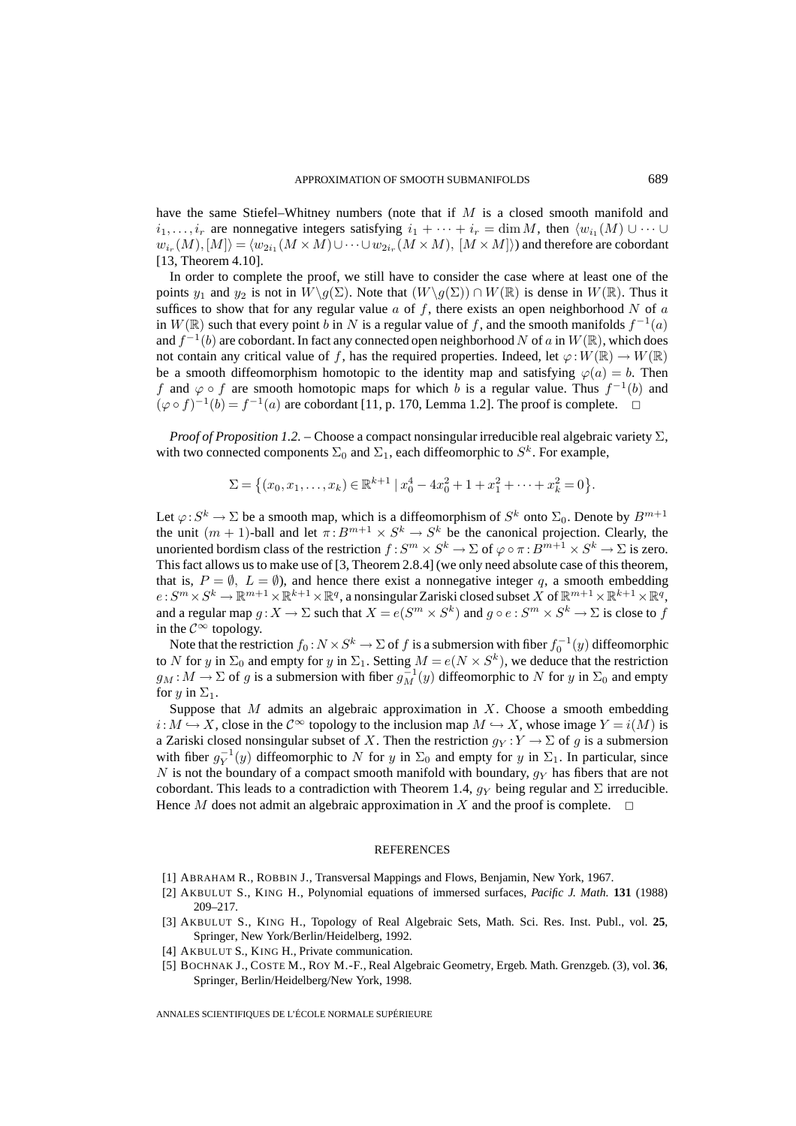have the same Stiefel–Whitney numbers (note that if M is a closed smooth manifold and  $i_1,\ldots,i_r$  are nonnegative integers satisfying  $i_1 + \cdots + i_r = \dim M$ , then  $\langle w_{i_1}(M) \cup \cdots \cup$  $w_{i_r}(M), [M] \rangle = \langle w_{2i_1}(M \times M) \cup \cdots \cup w_{2i_r}(M \times M), [M \times M] \rangle$  and therefore are cobordant [13, Theorem 4.10].

In order to complete the proof, we still have to consider the case where at least one of the points  $y_1$  and  $y_2$  is not in  $W\backslash g(\Sigma)$ . Note that  $(W\backslash g(\Sigma)) \cap W(\mathbb{R})$  is dense in  $W(\mathbb{R})$ . Thus it suffices to show that for any regular value  $a$  of f, there exists an open neighborhood N of  $a$ in  $W(\mathbb{R})$  such that every point b in N is a regular value of f, and the smooth manifolds  $f^{-1}(a)$ and  $f^{-1}(b)$  are cobordant. In fact any connected open neighborhood N of a in  $W(\mathbb{R})$ , which does not contain any critical value of f, has the required properties. Indeed, let  $\varphi: W(\mathbb{R}) \to W(\mathbb{R})$ be a smooth diffeomorphism homotopic to the identity map and satisfying  $\varphi(a) = b$ . Then f and  $\varphi \circ f$  are smooth homotopic maps for which b is a regular value. Thus  $f^{-1}(b)$  and  $(\varphi \circ f)^{-1}(b) = f^{-1}(a)$  are cobordant [11, p. 170, Lemma 1.2]. The proof is complete.  $\Box$ 

*Proof of Proposition 1.2. –* Choose a compact nonsingular irreducible real algebraic variety Σ, with two connected components  $\Sigma_0$  and  $\Sigma_1$ , each diffeomorphic to  $S^k$ . For example,

$$
\Sigma = \left\{ (x_0, x_1, \dots, x_k) \in \mathbb{R}^{k+1} \mid x_0^4 - 4x_0^2 + 1 + x_1^2 + \dots + x_k^2 = 0 \right\}.
$$

Let  $\varphi: S^k \to \Sigma$  be a smooth map, which is a diffeomorphism of  $S^k$  onto  $\Sigma_0$ . Denote by  $B^{m+1}$ the unit  $(m + 1)$ -ball and let  $\pi: B^{m+1} \times S^k \to S^k$  be the canonical projection. Clearly, the unoriented bordism class of the restriction  $f: S^m \times S^k \to \Sigma$  of  $\varphi \circ \pi : B^{m+1} \times S^k \to \Sigma$  is zero. This fact allows us to make use of [3, Theorem 2.8.4] (we only need absolute case of this theorem, that is,  $P = \emptyset$ ,  $L = \emptyset$ ), and hence there exist a nonnegative integer q, a smooth embedding  $e: S^m \times S^k \to \mathbb{R}^{m+1} \times \mathbb{R}^{k+1} \times \mathbb{R}^q$ , a nonsingular Zariski closed subset X of  $\mathbb{R}^{m+1} \times \mathbb{R}^{k+1} \times \mathbb{R}^q$ , and a regular map  $q: X \to \Sigma$  such that  $X = e(S^m \times S^k)$  and  $q \circ e: S^m \times S^k \to \Sigma$  is close to f in the  $\mathcal{C}^{\infty}$  topology.

Note that the restriction  $f_0$  :  $N \times S^k \to \Sigma$  of  $f$  is a submersion with fiber  $f_0^{-1}(y)$  diffeomorphic to N for y in  $\Sigma_0$  and empty for y in  $\Sigma_1$ . Setting  $M = e(N \times S^k)$ , we deduce that the restriction  $g_M : M \to \Sigma$  of g is a submersion with fiber  $g_M^{-1}(y)$  diffeomorphic to N for y in  $\Sigma_0$  and empty for  $y$  in  $\Sigma_1$ .

Suppose that M admits an algebraic approximation in X. Choose a smooth embedding  $i: M \hookrightarrow X$ , close in the  $\mathcal{C}^{\infty}$  topology to the inclusion map  $M \hookrightarrow X$ , whose image  $Y = i(M)$  is a Zariski closed nonsingular subset of X. Then the restriction  $q_Y : Y \to \Sigma$  of g is a submersion with fiber  $g_Y^{-1}(y)$  diffeomorphic to N for y in  $\Sigma_0$  and empty for y in  $\Sigma_1$ . In particular, since N is not the boundary of a compact smooth manifold with boundary,  $q_Y$  has fibers that are not cobordant. This leads to a contradiction with Theorem 1.4,  $q_Y$  being regular and  $\Sigma$  irreducible. Hence  $M$  does not admit an algebraic approximation in  $X$  and the proof is complete.

## **REFERENCES**

- [1] ABRAHAM R., ROBBIN J., Transversal Mappings and Flows, Benjamin, New York, 1967.
- [2] AKBULUT S., KING H., Polynomial equations of immersed surfaces, *Pacific J. Math.* **131** (1988) 209–217.
- [3] AKBULUT S., KING H., Topology of Real Algebraic Sets, Math. Sci. Res. Inst. Publ., vol. **25**, Springer, New York/Berlin/Heidelberg, 1992.
- [4] AKBULUT S., KING H., Private communication.
- [5] BOCHNAK J., COSTE M., ROY M.-F., Real Algebraic Geometry, Ergeb. Math. Grenzgeb. (3), vol. **36**, Springer, Berlin/Heidelberg/New York, 1998.